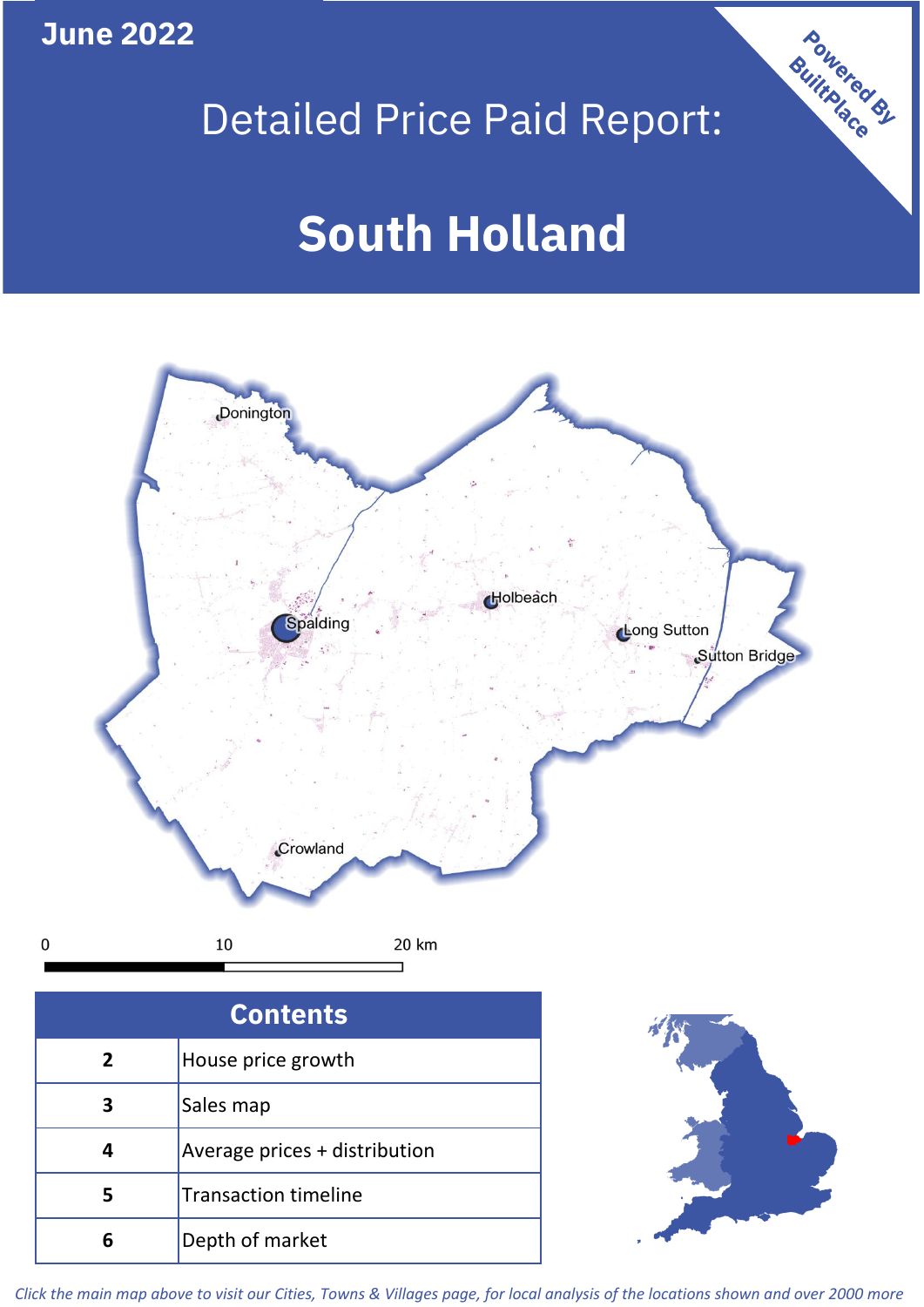**June 2022**

## Detailed Price Paid Report:

Powered By

# **South Holland**



*Click the main map above to visit our Cities, Towns & Villages page, for local analysis of the locations shown and over 2000 more*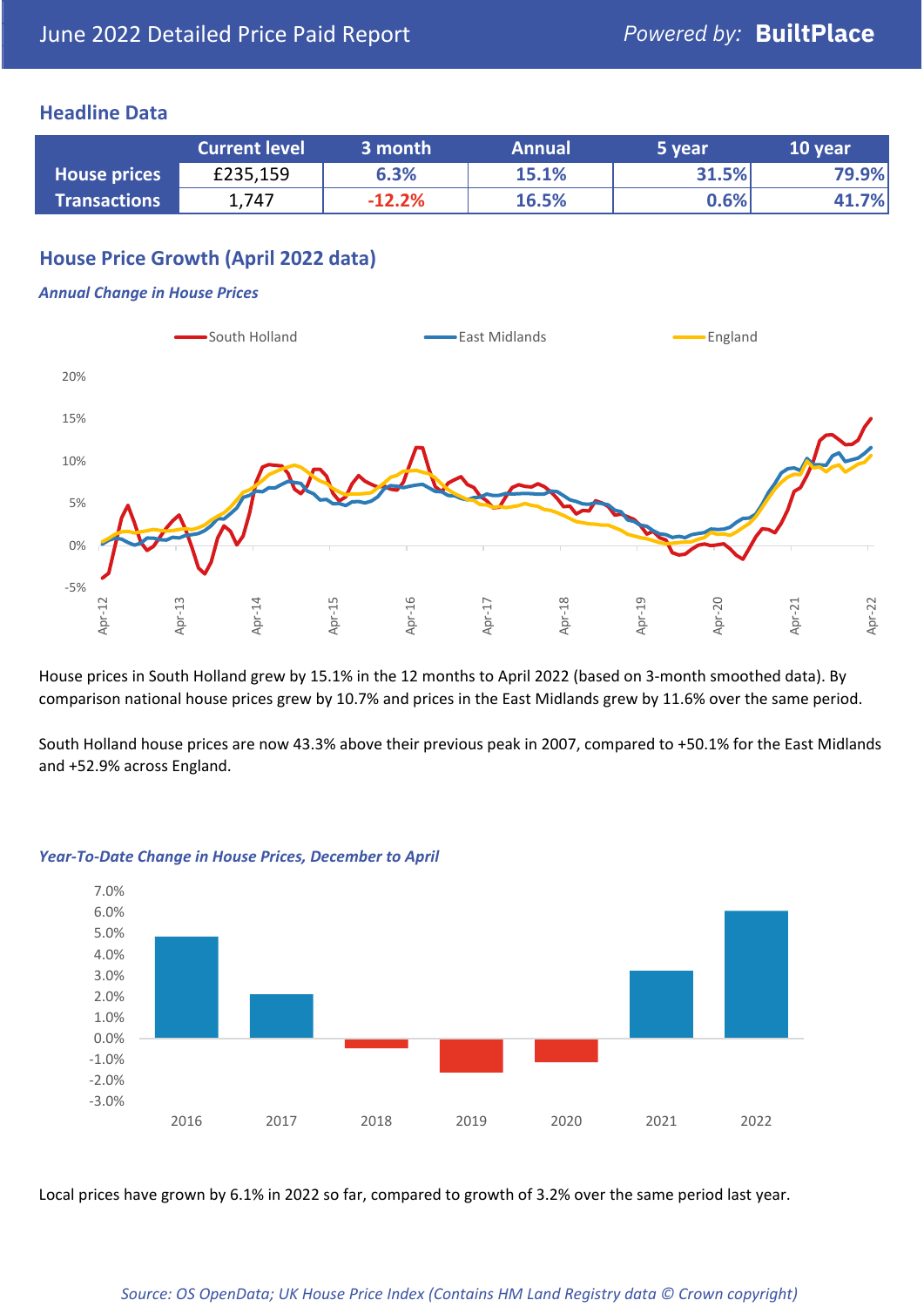## **Headline Data**

|                     | <b>Current level</b> | 3 month  | <b>Annual</b> | 5 vear | 10 year |
|---------------------|----------------------|----------|---------------|--------|---------|
| <b>House prices</b> | £235,159             | 6.3%     | 15.1%         | 31.5%  | 79.9%   |
| <b>Transactions</b> | 1,747                | $-12.2%$ | 16.5%         | 0.6%   | 41.7%   |

## **House Price Growth (April 2022 data)**

#### *Annual Change in House Prices*



House prices in South Holland grew by 15.1% in the 12 months to April 2022 (based on 3-month smoothed data). By comparison national house prices grew by 10.7% and prices in the East Midlands grew by 11.6% over the same period.

South Holland house prices are now 43.3% above their previous peak in 2007, compared to +50.1% for the East Midlands and +52.9% across England.



#### *Year-To-Date Change in House Prices, December to April*

Local prices have grown by 6.1% in 2022 so far, compared to growth of 3.2% over the same period last year.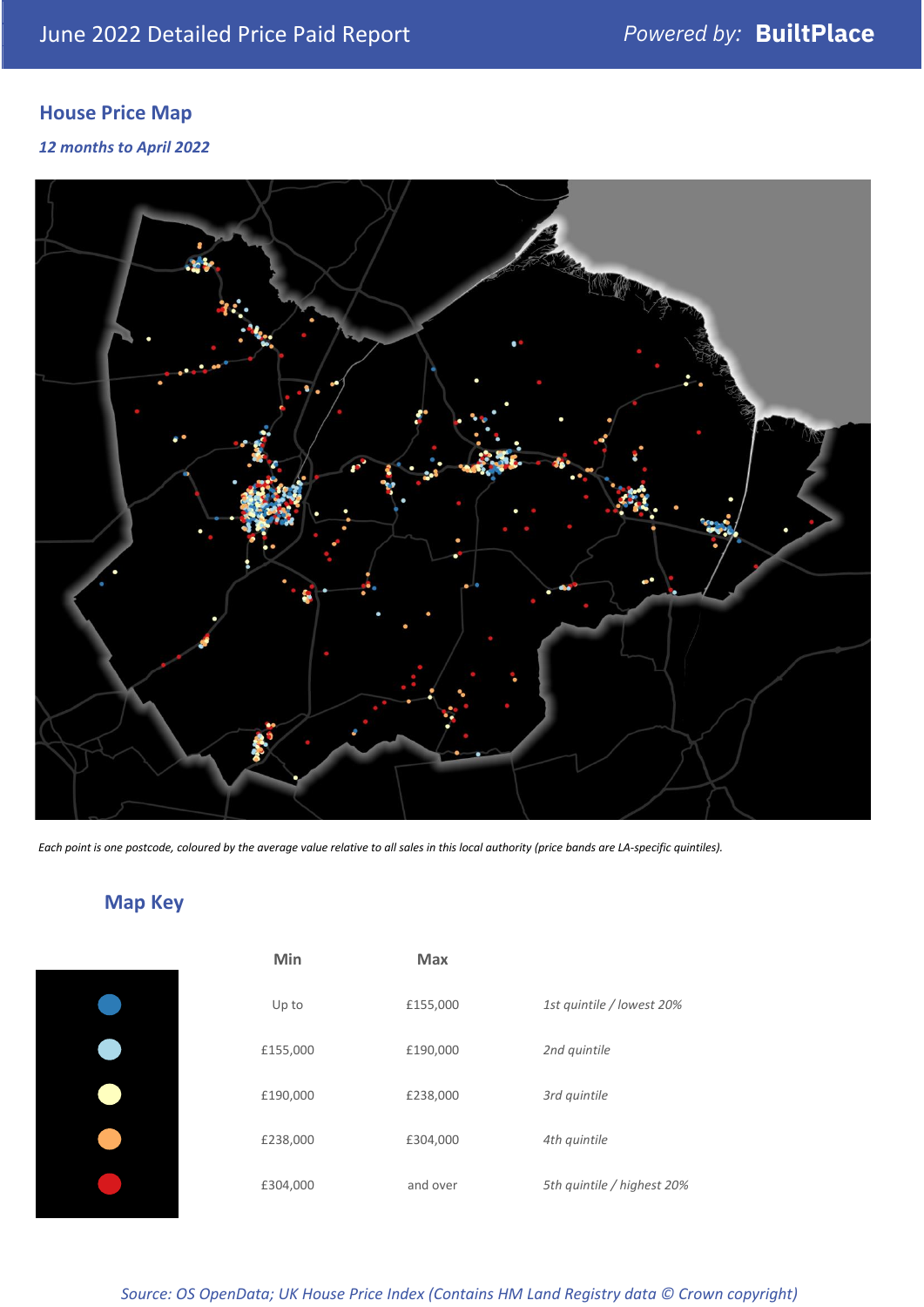## **House Price Map**

#### *12 months to April 2022*



*Each point is one postcode, coloured by the average value relative to all sales in this local authority (price bands are LA-specific quintiles).*

## **Map Key**

| Min      | <b>Max</b> |                            |
|----------|------------|----------------------------|
| Up to    | £155,000   | 1st quintile / lowest 20%  |
| £155,000 | £190,000   | 2nd quintile               |
| £190,000 | £238,000   | 3rd quintile               |
| £238,000 | £304,000   | 4th quintile               |
| £304,000 | and over   | 5th quintile / highest 20% |
|          |            |                            |

*Source: OS OpenData; UK House Price Index (Contains HM Land Registry data © Crown copyright)*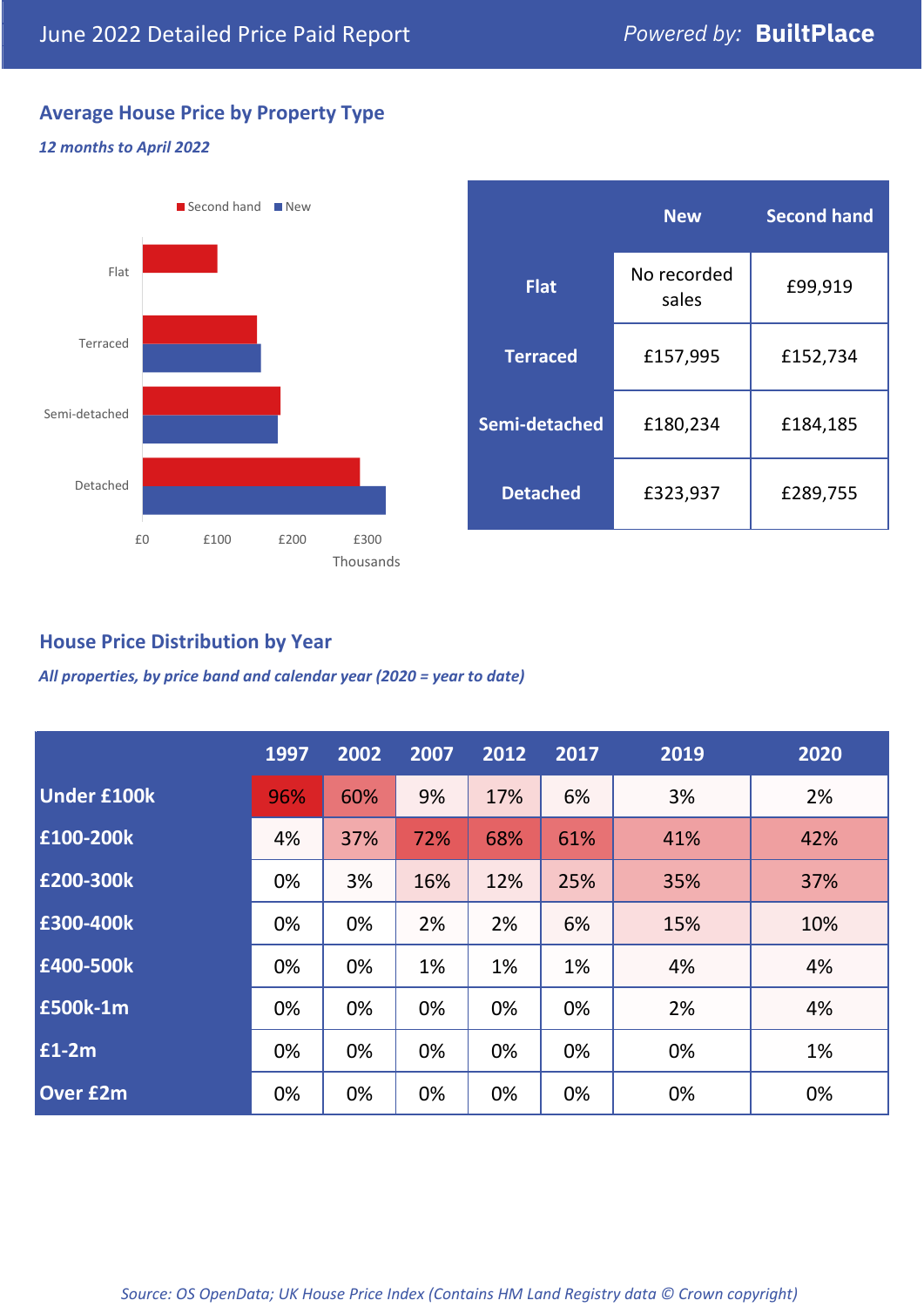## **Average House Price by Property Type**

#### *12 months to April 2022*



|                 | <b>New</b>           | <b>Second hand</b> |  |
|-----------------|----------------------|--------------------|--|
| <b>Flat</b>     | No recorded<br>sales | £99,919            |  |
| <b>Terraced</b> | £157,995             | £152,734           |  |
| Semi-detached   | £180,234             | £184,185           |  |
| <b>Detached</b> | £323,937             | £289,755           |  |

## **House Price Distribution by Year**

*All properties, by price band and calendar year (2020 = year to date)*

|                    | 1997 | 2002 | 2007 | 2012 | 2017 | 2019 | 2020 |
|--------------------|------|------|------|------|------|------|------|
| <b>Under £100k</b> | 96%  | 60%  | 9%   | 17%  | 6%   | 3%   | 2%   |
| £100-200k          | 4%   | 37%  | 72%  | 68%  | 61%  | 41%  | 42%  |
| £200-300k          | 0%   | 3%   | 16%  | 12%  | 25%  | 35%  | 37%  |
| £300-400k          | 0%   | 0%   | 2%   | 2%   | 6%   | 15%  | 10%  |
| £400-500k          | 0%   | 0%   | 1%   | 1%   | 1%   | 4%   | 4%   |
| £500k-1m           | 0%   | 0%   | 0%   | 0%   | 0%   | 2%   | 4%   |
| £1-2m              | 0%   | 0%   | 0%   | 0%   | 0%   | 0%   | 1%   |
| <b>Over £2m</b>    | 0%   | 0%   | 0%   | 0%   | 0%   | 0%   | 0%   |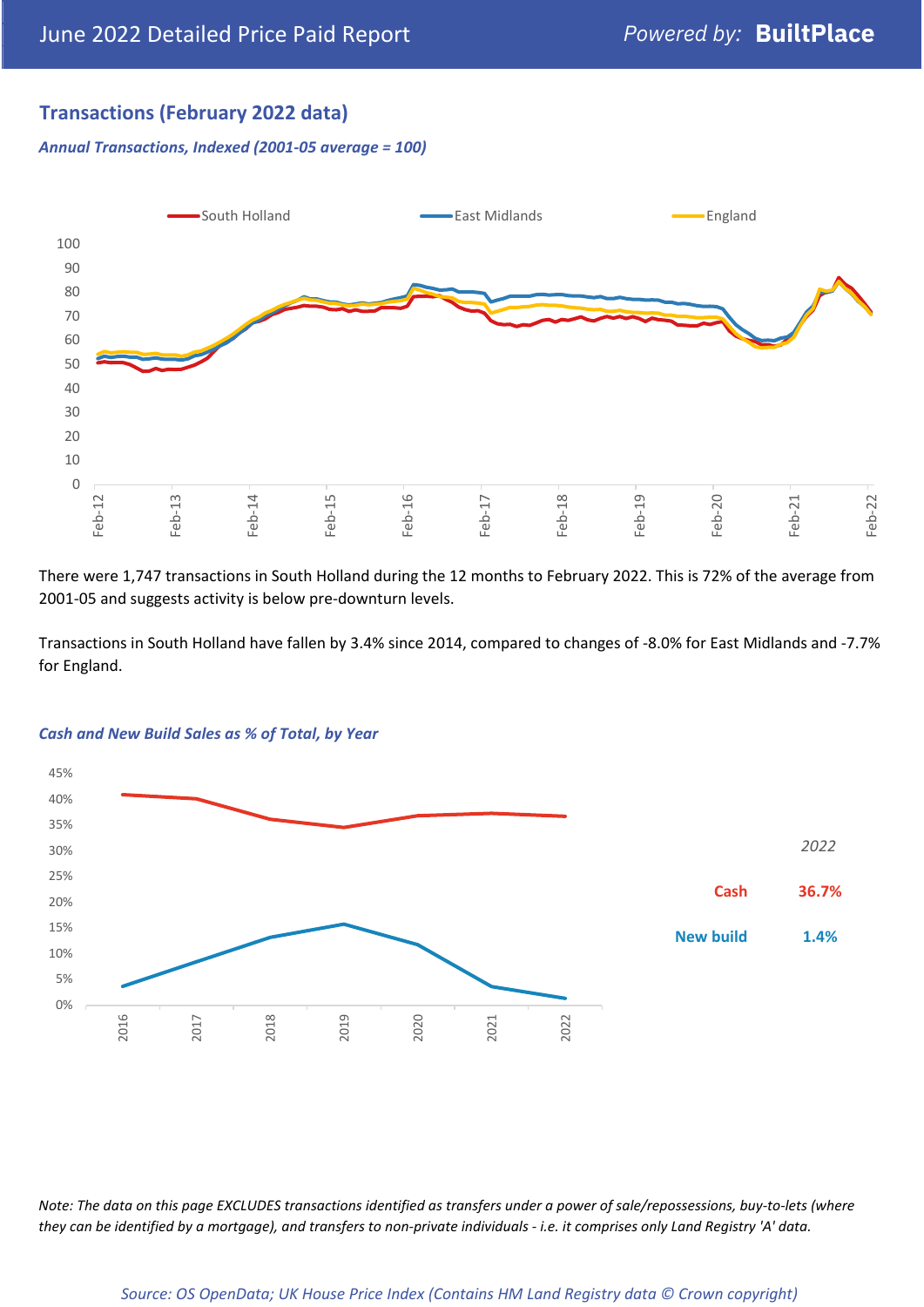## **Transactions (February 2022 data)**

*Annual Transactions, Indexed (2001-05 average = 100)*



There were 1,747 transactions in South Holland during the 12 months to February 2022. This is 72% of the average from 2001-05 and suggests activity is below pre-downturn levels.

Transactions in South Holland have fallen by 3.4% since 2014, compared to changes of -8.0% for East Midlands and -7.7% for England.



#### *Cash and New Build Sales as % of Total, by Year*

*Note: The data on this page EXCLUDES transactions identified as transfers under a power of sale/repossessions, buy-to-lets (where they can be identified by a mortgage), and transfers to non-private individuals - i.e. it comprises only Land Registry 'A' data.*